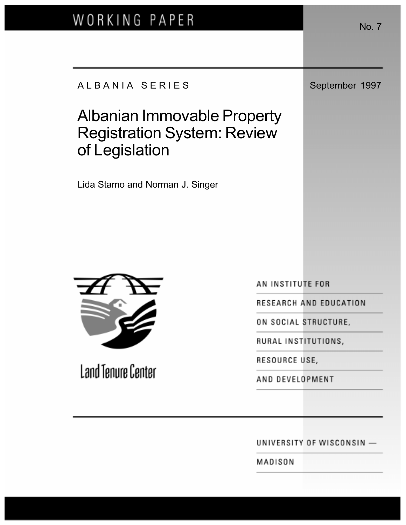# WORKING PAPER

## A L B A N I A S E R I E S September 1997

# Albanian Immovable Property Registration System: Review of Legislation

Lida Stamo and Norman J. Singer

AN INSTITUTE FOR

RESEARCH AND EDUCATION

ON SOCIAL STRUCTURE,

RURAL INSTITUTIONS,

AND DEVELOPMENT

UNIVERSITY OF WISCONSIN -

MADISON

RESOURCE USE,





**Land Tenure Center**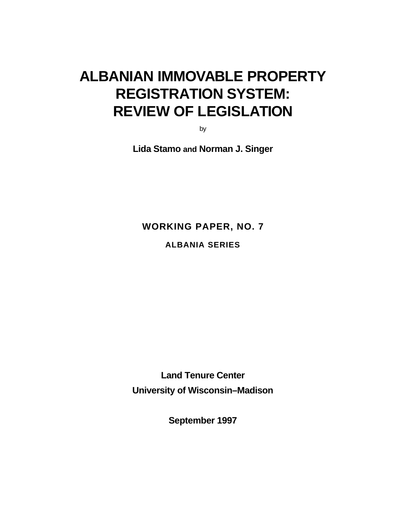# **ALBANIAN IMMOVABLE PROPERTY REGISTRATION SYSTEM: REVIEW OF LEGISLATION**

by

**Lida Stamo and Norman J. Singer**

**WORKING PAPER, NO. 7**

**ALBANIA SERIES**

**Land Tenure Center University of Wisconsin–Madison**

**September 1997**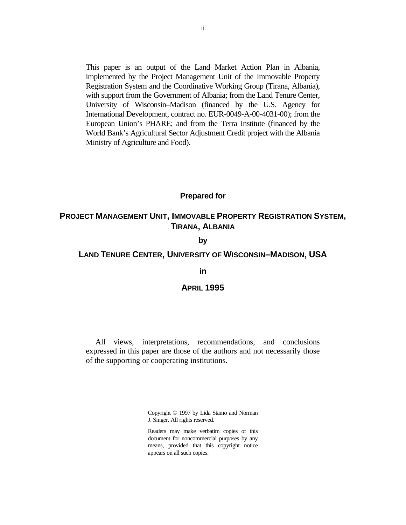This paper is an output of the Land Market Action Plan in Albania, implemented by the Project Management Unit of the Immovable Property Registration System and the Coordinative Working Group (Tirana, Albania), with support from the Government of Albania; from the Land Tenure Center, University of Wisconsin–Madison (financed by the U.S. Agency for International Development, contract no. EUR-0049-A-00-4031-00); from the European Union's PHARE; and from the Terra Institute (financed by the World Bank's Agricultural Sector Adjustment Credit project with the Albania Ministry of Agriculture and Food).

### **Prepared for**

## **PROJECT MANAGEMENT UNIT, IMMOVABLE PROPERTY REGISTRATION SYSTEM, TIRANA, ALBANIA**

### **by**

#### **LAND TENURE CENTER, UNIVERSITY OF WISCONSIN–MADISON, USA**

#### **in**

## **APRIL 1995**

All views, interpretations, recommendations, and conclusions expressed in this paper are those of the authors and not necessarily those of the supporting or cooperating institutions.

> Copyright © 1997 by Lida Stamo and Norman J. Singer. All rights reserved.

> Readers may make verbatim copies of this document for noncommercial purposes by any means, provided that this copyright notice appears on all such copies.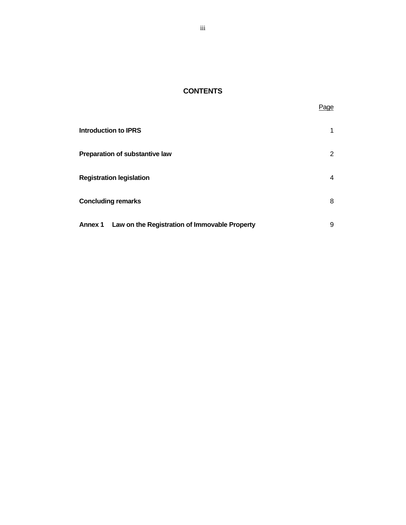## **CONTENTS**

Page

| <b>Introduction to IPRS</b>                                     |   |
|-----------------------------------------------------------------|---|
| Preparation of substantive law                                  | 2 |
| <b>Registration legislation</b>                                 | 4 |
| <b>Concluding remarks</b>                                       | 8 |
| Law on the Registration of Immovable Property<br><b>Annex 1</b> | 9 |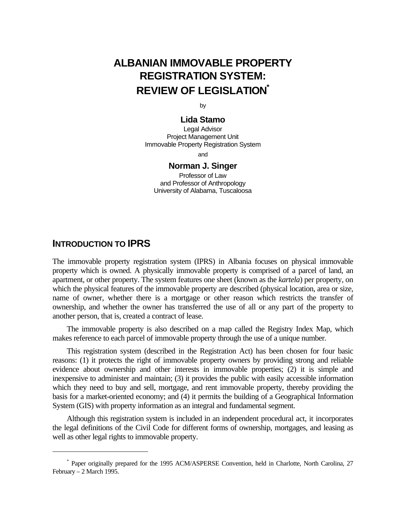## **ALBANIAN IMMOVABLE PROPERTY REGISTRATION SYSTEM: REVIEW OF LEGISLATION\***

by

## **Lida Stamo**

Legal Advisor Project Management Unit Immovable Property Registration System

and

### **Norman J. Singer**

Professor of Law and Professor of Anthropology University of Alabama, Tuscaloosa

## **INTRODUCTION TO IPRS**

 $\overline{a}$ 

The immovable property registration system (IPRS) in Albania focuses on physical immovable property which is owned. A physically immovable property is comprised of a parcel of land, an apartment, or other property. The system features one sheet (known as the *kartela*) per property, on which the physical features of the immovable property are described (physical location, area or size, name of owner, whether there is a mortgage or other reason which restricts the transfer of ownership, and whether the owner has transferred the use of all or any part of the property to another person, that is, created a contract of lease.

The immovable property is also described on a map called the Registry Index Map, which makes reference to each parcel of immovable property through the use of a unique number.

This registration system (described in the Registration Act) has been chosen for four basic reasons: (1) it protects the right of immovable property owners by providing strong and reliable evidence about ownership and other interests in immovable properties; (2) it is simple and inexpensive to administer and maintain; (3) it provides the public with easily accessible information which they need to buy and sell, mortgage, and rent immovable property, thereby providing the basis for a market-oriented economy; and (4) it permits the building of a Geographical Information System (GIS) with property information as an integral and fundamental segment.

Although this registration system is included in an independent procedural act, it incorporates the legal definitions of the Civil Code for different forms of ownership, mortgages, and leasing as well as other legal rights to immovable property.

<sup>\*</sup> Paper originally prepared for the 1995 ACM/ASPERSE Convention, held in Charlotte, North Carolina, 27 February – 2 March 1995.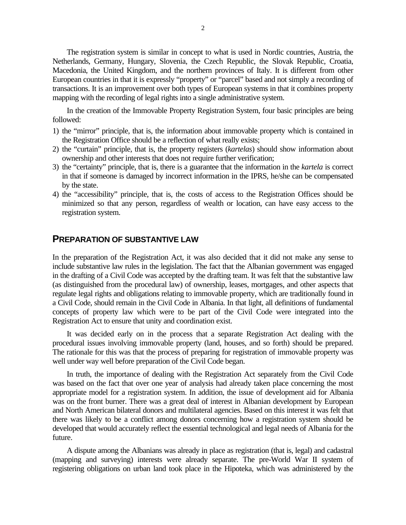The registration system is similar in concept to what is used in Nordic countries, Austria, the Netherlands, Germany, Hungary, Slovenia, the Czech Republic, the Slovak Republic, Croatia, Macedonia, the United Kingdom, and the northern provinces of Italy. It is different from other European countries in that it is expressly "property" or "parcel" based and not simply a recording of transactions. It is an improvement over both types of European systems in that it combines property mapping with the recording of legal rights into a single administrative system.

In the creation of the Immovable Property Registration System, four basic principles are being followed:

- 1) the "mirror" principle, that is, the information about immovable property which is contained in the Registration Office should be a reflection of what really exists;
- 2) the "curtain" principle, that is, the property registers (*kartelas*) should show information about ownership and other interests that does not require further verification;
- 3) the "certainty" principle, that is, there is a guarantee that the information in the *kartela* is correct in that if someone is damaged by incorrect information in the IPRS, he/she can be compensated by the state.
- 4) the "accessibility" principle, that is, the costs of access to the Registration Offices should be minimized so that any person, regardless of wealth or location, can have easy access to the registration system.

## **PREPARATION OF SUBSTANTIVE LAW**

In the preparation of the Registration Act, it was also decided that it did not make any sense to include substantive law rules in the legislation. The fact that the Albanian government was engaged in the drafting of a Civil Code was accepted by the drafting team. It was felt that the substantive law (as distinguished from the procedural law) of ownership, leases, mortgages, and other aspects that regulate legal rights and obligations relating to immovable property, which are traditionally found in a Civil Code, should remain in the Civil Code in Albania. In that light, all definitions of fundamental concepts of property law which were to be part of the Civil Code were integrated into the Registration Act to ensure that unity and coordination exist.

It was decided early on in the process that a separate Registration Act dealing with the procedural issues involving immovable property (land, houses, and so forth) should be prepared. The rationale for this was that the process of preparing for registration of immovable property was well under way well before preparation of the Civil Code began.

In truth, the importance of dealing with the Registration Act separately from the Civil Code was based on the fact that over one year of analysis had already taken place concerning the most appropriate model for a registration system. In addition, the issue of development aid for Albania was on the front burner. There was a great deal of interest in Albanian development by European and North American bilateral donors and multilateral agencies. Based on this interest it was felt that there was likely to be a conflict among donors concerning how a registration system should be developed that would accurately reflect the essential technological and legal needs of Albania for the future.

A dispute among the Albanians was already in place as registration (that is, legal) and cadastral (mapping and surveying) interests were already separate. The pre-World War II system of registering obligations on urban land took place in the Hipoteka, which was administered by the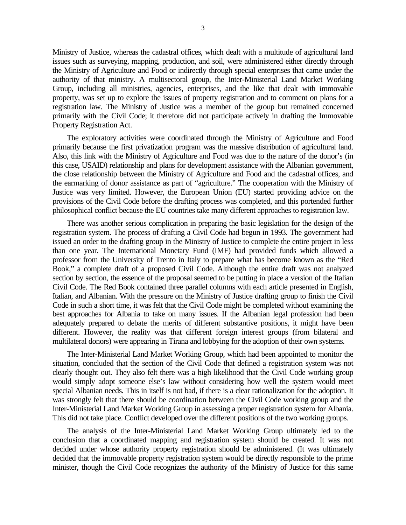Ministry of Justice, whereas the cadastral offices, which dealt with a multitude of agricultural land issues such as surveying, mapping, production, and soil, were administered either directly through the Ministry of Agriculture and Food or indirectly through special enterprises that came under the authority of that ministry. A multisectoral group, the Inter-Ministerial Land Market Working Group, including all ministries, agencies, enterprises, and the like that dealt with immovable property, was set up to explore the issues of property registration and to comment on plans for a registration law. The Ministry of Justice was a member of the group but remained concerned primarily with the Civil Code; it therefore did not participate actively in drafting the Immovable Property Registration Act.

The exploratory activities were coordinated through the Ministry of Agriculture and Food primarily because the first privatization program was the massive distribution of agricultural land. Also, this link with the Ministry of Agriculture and Food was due to the nature of the donor's (in this case, USAID) relationship and plans for development assistance with the Albanian government, the close relationship between the Ministry of Agriculture and Food and the cadastral offices, and the earmarking of donor assistance as part of "agriculture." The cooperation with the Ministry of Justice was very limited. However, the European Union (EU) started providing advice on the provisions of the Civil Code before the drafting process was completed, and this portended further philosophical conflict because the EU countries take many different approaches to registration law.

There was another serious complication in preparing the basic legislation for the design of the registration system. The process of drafting a Civil Code had begun in 1993. The government had issued an order to the drafting group in the Ministry of Justice to complete the entire project in less than one year. The International Monetary Fund (IMF) had provided funds which allowed a professor from the University of Trento in Italy to prepare what has become known as the "Red Book," a complete draft of a proposed Civil Code. Although the entire draft was not analyzed section by section, the essence of the proposal seemed to be putting in place a version of the Italian Civil Code. The Red Book contained three parallel columns with each article presented in English, Italian, and Albanian. With the pressure on the Ministry of Justice drafting group to finish the Civil Code in such a short time, it was felt that the Civil Code might be completed without examining the best approaches for Albania to take on many issues. If the Albanian legal profession had been adequately prepared to debate the merits of different substantive positions, it might have been different. However, the reality was that different foreign interest groups (from bilateral and multilateral donors) were appearing in Tirana and lobbying for the adoption of their own systems.

The Inter-Ministerial Land Market Working Group, which had been appointed to monitor the situation, concluded that the section of the Civil Code that defined a registration system was not clearly thought out. They also felt there was a high likelihood that the Civil Code working group would simply adopt someone else's law without considering how well the system would meet special Albanian needs. This in itself is not bad, if there is a clear rationalization for the adoption. It was strongly felt that there should be coordination between the Civil Code working group and the Inter-Ministerial Land Market Working Group in assessing a proper registration system for Albania. This did not take place. Conflict developed over the different positions of the two working groups.

The analysis of the Inter-Ministerial Land Market Working Group ultimately led to the conclusion that a coordinated mapping and registration system should be created. It was not decided under whose authority property registration should be administered. (It was ultimately decided that the immovable property registration system would be directly responsible to the prime minister, though the Civil Code recognizes the authority of the Ministry of Justice for this same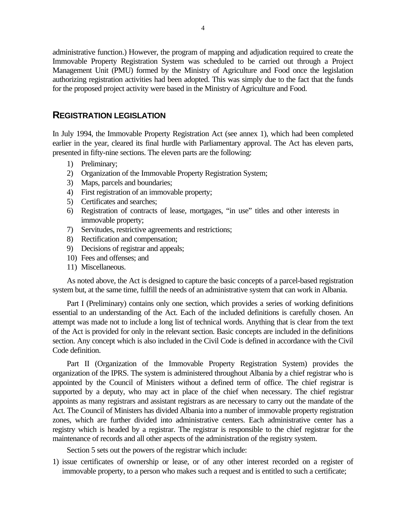administrative function.) However, the program of mapping and adjudication required to create the Immovable Property Registration System was scheduled to be carried out through a Project Management Unit (PMU) formed by the Ministry of Agriculture and Food once the legislation authorizing registration activities had been adopted. This was simply due to the fact that the funds for the proposed project activity were based in the Ministry of Agriculture and Food.

## **REGISTRATION LEGISLATION**

In July 1994, the Immovable Property Registration Act (see annex 1), which had been completed earlier in the year, cleared its final hurdle with Parliamentary approval. The Act has eleven parts, presented in fifty-nine sections. The eleven parts are the following:

- 1) Preliminary;
- 2) Organization of the Immovable Property Registration System;
- 3) Maps, parcels and boundaries;
- 4) First registration of an immovable property;
- 5) Certificates and searches;
- 6) Registration of contracts of lease, mortgages, "in use" titles and other interests in immovable property;
- 7) Servitudes, restrictive agreements and restrictions;
- 8) Rectification and compensation;
- 9) Decisions of registrar and appeals;
- 10) Fees and offenses; and
- 11) Miscellaneous.

As noted above, the Act is designed to capture the basic concepts of a parcel-based registration system but, at the same time, fulfill the needs of an administrative system that can work in Albania.

Part I (Preliminary) contains only one section, which provides a series of working definitions essential to an understanding of the Act. Each of the included definitions is carefully chosen. An attempt was made not to include a long list of technical words. Anything that is clear from the text of the Act is provided for only in the relevant section. Basic concepts are included in the definitions section. Any concept which is also included in the Civil Code is defined in accordance with the Civil Code definition.

Part II (Organization of the Immovable Property Registration System) provides the organization of the IPRS. The system is administered throughout Albania by a chief registrar who is appointed by the Council of Ministers without a defined term of office. The chief registrar is supported by a deputy, who may act in place of the chief when necessary. The chief registrar appoints as many registrars and assistant registrars as are necessary to carry out the mandate of the Act. The Council of Ministers has divided Albania into a number of immovable property registration zones, which are further divided into administrative centers. Each administrative center has a registry which is headed by a registrar. The registrar is responsible to the chief registrar for the maintenance of records and all other aspects of the administration of the registry system.

Section 5 sets out the powers of the registrar which include:

1) issue certificates of ownership or lease, or of any other interest recorded on a register of immovable property, to a person who makes such a request and is entitled to such a certificate;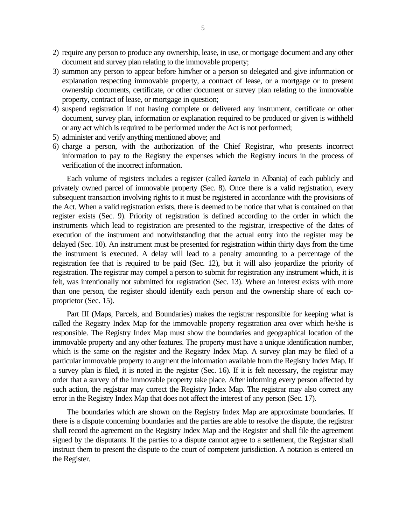- 2) require any person to produce any ownership, lease, in use, or mortgage document and any other document and survey plan relating to the immovable property;
- 3) summon any person to appear before him/her or a person so delegated and give information or explanation respecting immovable property, a contract of lease, or a mortgage or to present ownership documents, certificate, or other document or survey plan relating to the immovable property, contract of lease, or mortgage in question;
- 4) suspend registration if not having complete or delivered any instrument, certificate or other document, survey plan, information or explanation required to be produced or given is withheld or any act which is required to be performed under the Act is not performed;
- 5) administer and verify anything mentioned above; and
- 6) charge a person, with the authorization of the Chief Registrar, who presents incorrect information to pay to the Registry the expenses which the Registry incurs in the process of verification of the incorrect information.

Each volume of registers includes a register (called *kartela* in Albania) of each publicly and privately owned parcel of immovable property (Sec. 8). Once there is a valid registration, every subsequent transaction involving rights to it must be registered in accordance with the provisions of the Act. When a valid registration exists, there is deemed to be notice that what is contained on that register exists (Sec. 9). Priority of registration is defined according to the order in which the instruments which lead to registration are presented to the registrar, irrespective of the dates of execution of the instrument and notwithstanding that the actual entry into the register may be delayed (Sec. 10). An instrument must be presented for registration within thirty days from the time the instrument is executed. A delay will lead to a penalty amounting to a percentage of the registration fee that is required to be paid (Sec. 12), but it will also jeopardize the priority of registration. The registrar may compel a person to submit for registration any instrument which, it is felt, was intentionally not submitted for registration (Sec. 13). Where an interest exists with more than one person, the register should identify each person and the ownership share of each coproprietor (Sec. 15).

Part III (Maps, Parcels, and Boundaries) makes the registrar responsible for keeping what is called the Registry Index Map for the immovable property registration area over which he/she is responsible. The Registry Index Map must show the boundaries and geographical location of the immovable property and any other features. The property must have a unique identification number, which is the same on the register and the Registry Index Map. A survey plan may be filed of a particular immovable property to augment the information available from the Registry Index Map. If a survey plan is filed, it is noted in the register (Sec. 16). If it is felt necessary, the registrar may order that a survey of the immovable property take place. After informing every person affected by such action, the registrar may correct the Registry Index Map. The registrar may also correct any error in the Registry Index Map that does not affect the interest of any person (Sec. 17).

The boundaries which are shown on the Registry Index Map are approximate boundaries. If there is a dispute concerning boundaries and the parties are able to resolve the dispute, the registrar shall record the agreement on the Registry Index Map and the Register and shall file the agreement signed by the disputants. If the parties to a dispute cannot agree to a settlement, the Registrar shall instruct them to present the dispute to the court of competent jurisdiction. A notation is entered on the Register.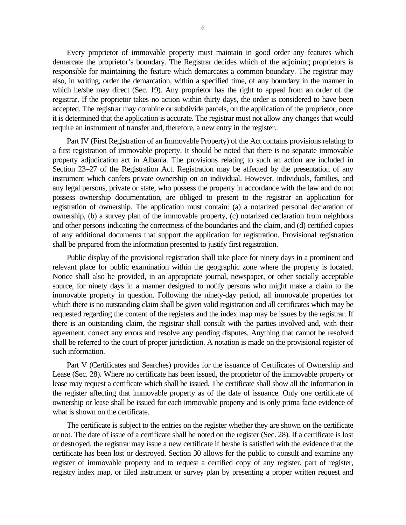Every proprietor of immovable property must maintain in good order any features which demarcate the proprietor's boundary. The Registrar decides which of the adjoining proprietors is responsible for maintaining the feature which demarcates a common boundary. The registrar may also, in writing, order the demarcation, within a specified time, of any boundary in the manner in which he/she may direct (Sec. 19). Any proprietor has the right to appeal from an order of the registrar. If the proprietor takes no action within thirty days, the order is considered to have been accepted. The registrar may combine or subdivide parcels, on the application of the proprietor, once it is determined that the application is accurate. The registrar must not allow any changes that would require an instrument of transfer and, therefore, a new entry in the register.

Part IV (First Registration of an Immovable Property) of the Act contains provisions relating to a first registration of immovable property. It should be noted that there is no separate immovable property adjudication act in Albania. The provisions relating to such an action are included in Section 23–27 of the Registration Act. Registration may be affected by the presentation of any instrument which confers private ownership on an individual. However, individuals, families, and any legal persons, private or state, who possess the property in accordance with the law and do not possess ownership documentation, are obliged to present to the registrar an application for registration of ownership. The application must contain: (a) a notarized personal declaration of ownership, (b) a survey plan of the immovable property, (c) notarized declaration from neighbors and other persons indicating the correctness of the boundaries and the claim, and (d) certified copies of any additional documents that support the application for registration. Provisional registration shall be prepared from the information presented to justify first registration.

Public display of the provisional registration shall take place for ninety days in a prominent and relevant place for public examination within the geographic zone where the property is located. Notice shall also be provided, in an appropriate journal, newspaper, or other socially acceptable source, for ninety days in a manner designed to notify persons who might make a claim to the immovable property in question. Following the ninety-day period, all immovable properties for which there is no outstanding claim shall be given valid registration and all certificates which may be requested regarding the content of the registers and the index map may be issues by the registrar. If there is an outstanding claim, the registrar shall consult with the parties involved and, with their agreement, correct any errors and resolve any pending disputes. Anything that cannot be resolved shall be referred to the court of proper jurisdiction. A notation is made on the provisional register of such information.

Part V (Certificates and Searches) provides for the issuance of Certificates of Ownership and Lease (Sec. 28). Where no certificate has been issued, the proprietor of the immovable property or lease may request a certificate which shall be issued. The certificate shall show all the information in the register affecting that immovable property as of the date of issuance. Only one certificate of ownership or lease shall be issued for each immovable property and is only prima facie evidence of what is shown on the certificate.

The certificate is subject to the entries on the register whether they are shown on the certificate or not. The date of issue of a certificate shall be noted on the register (Sec. 28). If a certificate is lost or destroyed, the registrar may issue a new certificate if he/she is satisfied with the evidence that the certificate has been lost or destroyed. Section 30 allows for the public to consult and examine any register of immovable property and to request a certified copy of any register, part of register, registry index map, or filed instrument or survey plan by presenting a proper written request and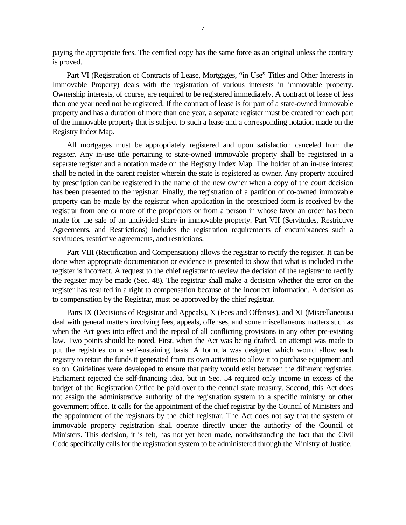paying the appropriate fees. The certified copy has the same force as an original unless the contrary is proved.

Part VI (Registration of Contracts of Lease, Mortgages, "in Use" Titles and Other Interests in Immovable Property) deals with the registration of various interests in immovable property. Ownership interests, of course, are required to be registered immediately. A contract of lease of less than one year need not be registered. If the contract of lease is for part of a state-owned immovable property and has a duration of more than one year, a separate register must be created for each part of the immovable property that is subject to such a lease and a corresponding notation made on the Registry Index Map.

All mortgages must be appropriately registered and upon satisfaction canceled from the register. Any in-use title pertaining to state-owned immovable property shall be registered in a separate register and a notation made on the Registry Index Map. The holder of an in-use interest shall be noted in the parent register wherein the state is registered as owner. Any property acquired by prescription can be registered in the name of the new owner when a copy of the court decision has been presented to the registrar. Finally, the registration of a partition of co-owned immovable property can be made by the registrar when application in the prescribed form is received by the registrar from one or more of the proprietors or from a person in whose favor an order has been made for the sale of an undivided share in immovable property. Part VII (Servitudes, Restrictive Agreements, and Restrictions) includes the registration requirements of encumbrances such a servitudes, restrictive agreements, and restrictions.

Part VIII (Rectification and Compensation) allows the registrar to rectify the register. It can be done when appropriate documentation or evidence is presented to show that what is included in the register is incorrect. A request to the chief registrar to review the decision of the registrar to rectify the register may be made (Sec. 48). The registrar shall make a decision whether the error on the register has resulted in a right to compensation because of the incorrect information. A decision as to compensation by the Registrar, must be approved by the chief registrar.

Parts IX (Decisions of Registrar and Appeals), X (Fees and Offenses), and XI (Miscellaneous) deal with general matters involving fees, appeals, offenses, and some miscellaneous matters such as when the Act goes into effect and the repeal of all conflicting provisions in any other pre-existing law. Two points should be noted. First, when the Act was being drafted, an attempt was made to put the registries on a self-sustaining basis. A formula was designed which would allow each registry to retain the funds it generated from its own activities to allow it to purchase equipment and so on. Guidelines were developed to ensure that parity would exist between the different registries. Parliament rejected the self-financing idea, but in Sec. 54 required only income in excess of the budget of the Registration Office be paid over to the central state treasury. Second, this Act does not assign the administrative authority of the registration system to a specific ministry or other government office. It calls for the appointment of the chief registrar by the Council of Ministers and the appointment of the registrars by the chief registrar. The Act does not say that the system of immovable property registration shall operate directly under the authority of the Council of Ministers. This decision, it is felt, has not yet been made, notwithstanding the fact that the Civil Code specifically calls for the registration system to be administered through the Ministry of Justice.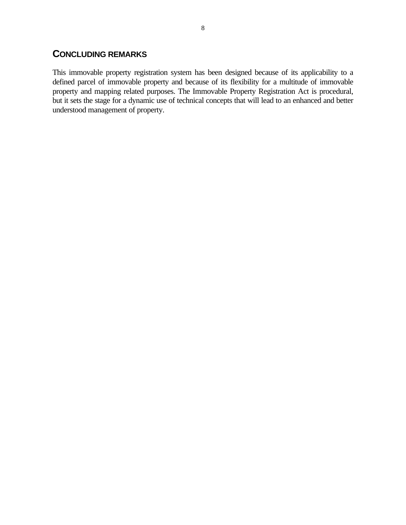## **CONCLUDING REMARKS**

This immovable property registration system has been designed because of its applicability to a defined parcel of immovable property and because of its flexibility for a multitude of immovable property and mapping related purposes. The Immovable Property Registration Act is procedural, but it sets the stage for a dynamic use of technical concepts that will lead to an enhanced and better understood management of property.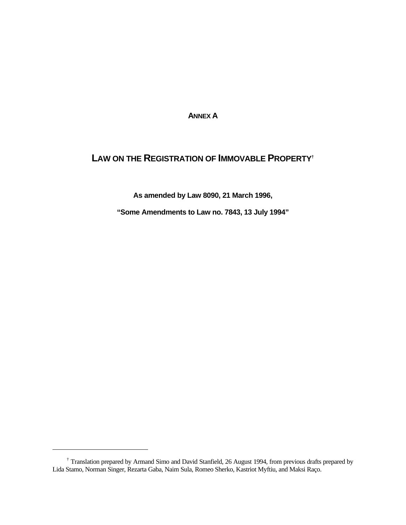**ANNEX A**

## **LAW ON THE REGISTRATION OF IMMOVABLE PROPERTY†**

**As amended by Law 8090, 21 March 1996,**

**"Some Amendments to Law no. 7843, 13 July 1994"**

 $\overline{a}$ 

<sup>†</sup> Translation prepared by Armand Simo and David Stanfield, 26 August 1994, from previous drafts prepared by Lida Stamo, Norman Singer, Rezarta Gaba, Naim Sula, Romeo Sherko, Kastriot Myftiu, and Maksi Raço.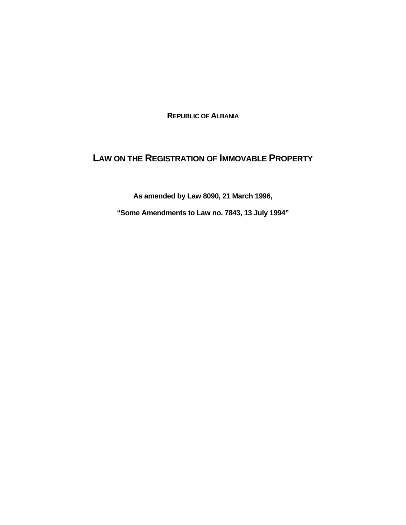**REPUBLIC OF ALBANIA**

## **LAW ON THE REGISTRATION OF IMMOVABLE PROPERTY**

**As amended by Law 8090, 21 March 1996,**

**"Some Amendments to Law no. 7843, 13 July 1994"**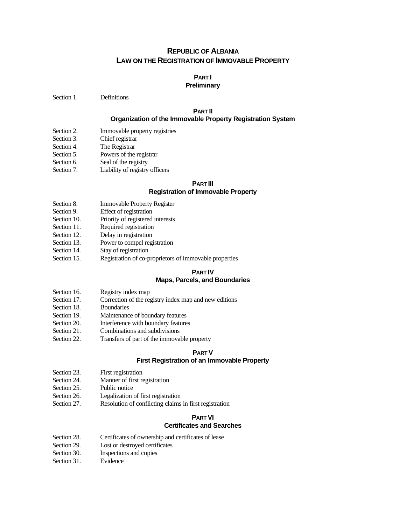## **REPUBLIC OF ALBANIA LAW ON THE REGISTRATION OF IMMOVABLE PROPERTY**

## **PART I**

#### **Preliminary**

Section 1. Definitions

## **PART II**

#### **Organization of the Immovable Property Registration System**

- Section 2. Immovable property registries
- Section 3. Chief registrar
- Section 4. The Registrar
- Section 5. Powers of the registrar
- Section 6. Seal of the registry
- Section 7. Liability of registry officers

## **PART III**

## **Registration of Immovable Property**

- Section 8. **Immovable Property Register**
- Section 9. Effect of registration
- Section 10. Priority of registered interests
- Section 11. Required registration
- Section 12. Delay in registration
- Section 13. Power to compel registration
- Section 14. Stay of registration
- Section 15. Registration of co-proprietors of immovable properties

#### **PART IV Maps, Parcels, and Boundaries**

- Section 16. Registry index map
- Section 17. Correction of the registry index map and new editions
- Section 18. Boundaries
- Section 19. Maintenance of boundary features
- Section 20. Interference with boundary features
- Section 21. Combinations and subdivisions
- Section 22. Transfers of part of the immovable property

## **PART V**

#### **First Registration of an Immovable Property**

- Section 23. First registration
- Section 24. Manner of first registration
- Section 25. Public notice
- Section 26. Legalization of first registration
- Section 27. Resolution of conflicting claims in first registration

#### **PART VI Certificates and Searches**

- Section 28. Certificates of ownership and certificates of lease
- Section 29. Lost or destroyed certificates
- Section 30. Inspections and copies
- Section 31. Evidence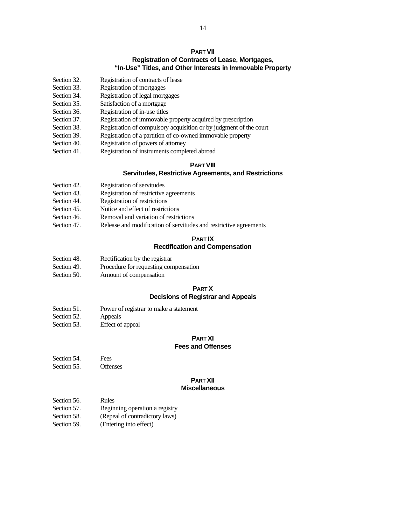#### **PART VII Registration of Contracts of Lease, Mortgages, "In-Use" Titles, and Other Interests in Immovable Property**

- Section 32. Registration of contracts of lease
- Section 33. Registration of mortgages
- Section 34. Registration of legal mortgages
- Section 35. Satisfaction of a mortgage
- Section 36. Registration of in-use titles
- Section 37. Registration of immovable property acquired by prescription
- Section 38. Registration of compulsory acquisition or by judgment of the court
- Section 39. Registration of a partition of co-owned immovable property
- Section 40. Registration of powers of attorney
- Section 41. Registration of instruments completed abroad

#### **PART VIII**

#### **Servitudes, Restrictive Agreements, and Restrictions**

- Section 42. Registration of servitudes
- Section 43. Registration of restrictive agreements
- Section 44. Registration of restrictions
- Section 45. Notice and effect of restrictions
- Section 46. Removal and variation of restrictions
- Section 47. Release and modification of servitudes and restrictive agreements

## **PART IX Rectification and Compensation**

- Section 48. Rectification by the registrar
- Section 49. Procedure for requesting compensation
- Section 50. Amount of compensation

#### **PART X**

#### **Decisions of Registrar and Appeals**

- Section 51. Power of registrar to make a statement
- Section 52. Appeals
- Section 53. Effect of appeal

## **PART XI**

## **Fees and Offenses**

- Section 54. Fees
- Section 55. Offenses

## **PART XII**

## **Miscellaneous**

- Section 56. Rules
- Section 57. Beginning operation a registry
- Section 58. (Repeal of contradictory laws)
- Section 59. (Entering into effect)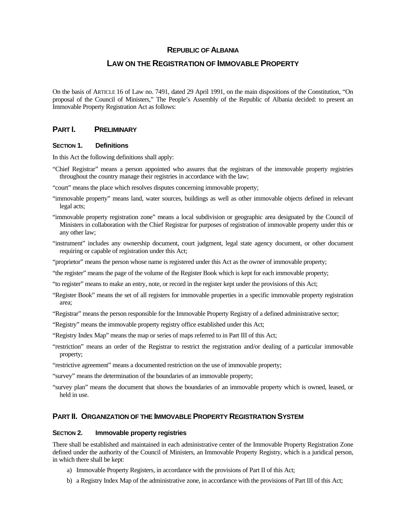#### **REPUBLIC OF ALBANIA**

## **LAW ON THE REGISTRATION OF IMMOVABLE PROPERTY**

On the basis of ARTICLE 16 of Law no. 7491, dated 29 April 1991, on the main dispositions of the Constitution, "On proposal of the Council of Ministers," The People's Assembly of the Republic of Albania decided: to present an Immovable Property Registration Act as follows:

## **PART I. PRELIMINARY**

#### **SECTION 1. Definitions**

In this Act the following definitions shall apply:

- "Chief Registrar" means a person appointed who assures that the registrars of the immovable property registries throughout the country manage their registries in accordance with the law;
- "court" means the place which resolves disputes concerning immovable property;
- "immovable property" means land, water sources, buildings as well as other immovable objects defined in relevant legal acts;
- "immovable property registration zone" means a local subdivision or geographic area designated by the Council of Ministers in collaboration with the Chief Registrar for purposes of registration of immovable property under this or any other law;
- "instrument" includes any ownership document, court judgment, legal state agency document, or other document requiring or capable of registration under this Act;
- "proprietor" means the person whose name is registered under this Act as the owner of immovable property;
- "the register" means the page of the volume of the Register Book which is kept for each immovable property;
- "to register" means to make an entry, note, or record in the register kept under the provisions of this Act;
- "Register Book" means the set of all registers for immovable properties in a specific immovable property registration area;
- "Registrar" means the person responsible for the Immovable Property Registry of a defined administrative sector;
- "Registry" means the immovable property registry office established under this Act;
- "Registry Index Map" means the map or series of maps referred to in Part III of this Act;
- "restriction" means an order of the Registrar to restrict the registration and/or dealing of a particular immovable property;
- "restrictive agreement" means a documented restriction on the use of immovable property;

"survey" means the determination of the boundaries of an immovable property;

"survey plan" means the document that shows the boundaries of an immovable property which is owned, leased, or held in use.

#### **PART II. ORGANIZATION OF THE IMMOVABLE PROPERTY REGISTRATION SYSTEM**

#### **SECTION 2. Immovable property registries**

There shall be established and maintained in each administrative center of the Immovable Property Registration Zone defined under the authority of the Council of Ministers, an Immovable Property Registry, which is a juridical person, in which there shall be kept:

- a) Immovable Property Registers, in accordance with the provisions of Part II of this Act;
- b) a Registry Index Map of the administrative zone, in accordance with the provisions of Part III of this Act;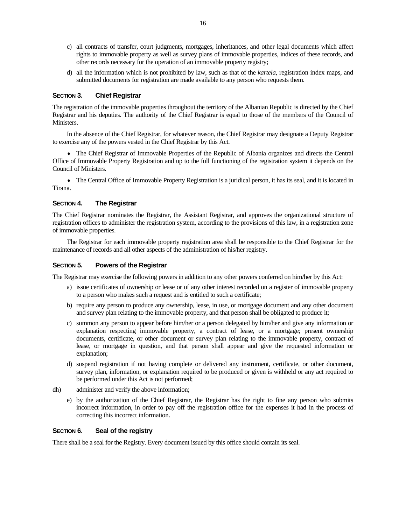- c) all contracts of transfer, court judgments, mortgages, inheritances, and other legal documents which affect rights to immovable property as well as survey plans of immovable properties, indices of these records, and other records necessary for the operation of an immovable property registry;
- d) all the information which is not prohibited by law, such as that of the *kartela*, registration index maps, and submitted documents for registration are made available to any person who requests them.

#### **SECTION 3. Chief Registrar**

The registration of the immovable properties throughout the territory of the Albanian Republic is directed by the Chief Registrar and his deputies. The authority of the Chief Registrar is equal to those of the members of the Council of Ministers.

In the absence of the Chief Registrar, for whatever reason, the Chief Registrar may designate a Deputy Registrar to exercise any of the powers vested in the Chief Registrar by this Act.

♦ The Chief Registrar of Immovable Properties of the Republic of Albania organizes and directs the Central Office of Immovable Property Registration and up to the full functioning of the registration system it depends on the Council of Ministers.

• The Central Office of Immovable Property Registration is a juridical person, it has its seal, and it is located in Tirana.

#### **SECTION 4. The Registrar**

The Chief Registrar nominates the Registrar, the Assistant Registrar, and approves the organizational structure of registration offices to administer the registration system, according to the provisions of this law, in a registration zone of immovable properties.

The Registrar for each immovable property registration area shall be responsible to the Chief Registrar for the maintenance of records and all other aspects of the administration of his/her registry.

#### **SECTION 5. Powers of the Registrar**

The Registrar may exercise the following powers in addition to any other powers conferred on him/her by this Act:

- a) issue certificates of ownership or lease or of any other interest recorded on a register of immovable property to a person who makes such a request and is entitled to such a certificate;
- b) require any person to produce any ownership, lease, in use, or mortgage document and any other document and survey plan relating to the immovable property, and that person shall be obligated to produce it;
- c) summon any person to appear before him/her or a person delegated by him/her and give any information or explanation respecting immovable property, a contract of lease, or a mortgage; present ownership documents, certificate, or other document or survey plan relating to the immovable property, contract of lease, or mortgage in question, and that person shall appear and give the requested information or explanation;
- d) suspend registration if not having complete or delivered any instrument, certificate, or other document, survey plan, information, or explanation required to be produced or given is withheld or any act required to be performed under this Act is not performed;
- dh) administer and verify the above information;
	- e) by the authorization of the Chief Registrar, the Registrar has the right to fine any person who submits incorrect information, in order to pay off the registration office for the expenses it had in the process of correcting this incorrect information.

#### **SECTION 6. Seal of the registry**

There shall be a seal for the Registry. Every document issued by this office should contain its seal.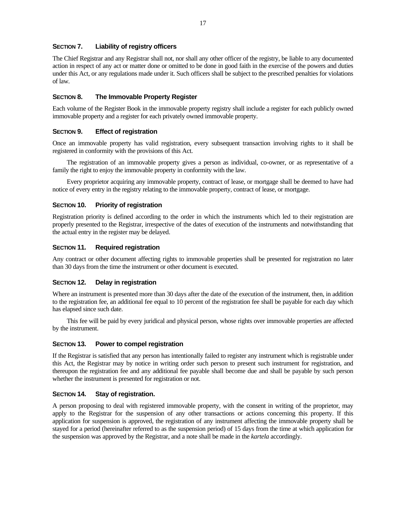#### **SECTION 7. Liability of registry officers**

The Chief Registrar and any Registrar shall not, nor shall any other officer of the registry, be liable to any documented action in respect of any act or matter done or omitted to be done in good faith in the exercise of the powers and duties under this Act, or any regulations made under it. Such officers shall be subject to the prescribed penalties for violations of law.

#### **SECTION 8. The Immovable Property Register**

Each volume of the Register Book in the immovable property registry shall include a register for each publicly owned immovable property and a register for each privately owned immovable property.

#### **SECTION 9. Effect of registration**

Once an immovable property has valid registration, every subsequent transaction involving rights to it shall be registered in conformity with the provisions of this Act.

The registration of an immovable property gives a person as individual, co-owner, or as representative of a family the right to enjoy the immovable property in conformity with the law.

Every proprietor acquiring any immovable property, contract of lease, or mortgage shall be deemed to have had notice of every entry in the registry relating to the immovable property, contract of lease, or mortgage.

#### **SECTION 10. Priority of registration**

Registration priority is defined according to the order in which the instruments which led to their registration are properly presented to the Registrar, irrespective of the dates of execution of the instruments and notwithstanding that the actual entry in the register may be delayed.

#### **SECTION 11. Required registration**

Any contract or other document affecting rights to immovable properties shall be presented for registration no later than 30 days from the time the instrument or other document is executed.

#### **SECTION 12. Delay in registration**

Where an instrument is presented more than 30 days after the date of the execution of the instrument, then, in addition to the registration fee, an additional fee equal to 10 percent of the registration fee shall be payable for each day which has elapsed since such date.

This fee will be paid by every juridical and physical person, whose rights over immovable properties are affected by the instrument.

#### **SECTION 13. Power to compel registration**

If the Registrar is satisfied that any person has intentionally failed to register any instrument which is registrable under this Act, the Registrar may by notice in writing order such person to present such instrument for registration, and thereupon the registration fee and any additional fee payable shall become due and shall be payable by such person whether the instrument is presented for registration or not.

#### **SECTION 14. Stay of registration.**

A person proposing to deal with registered immovable property, with the consent in writing of the proprietor, may apply to the Registrar for the suspension of any other transactions or actions concerning this property. If this application for suspension is approved, the registration of any instrument affecting the immovable property shall be stayed for a period (hereinafter referred to as the suspension period) of 15 days from the time at which application for the suspension was approved by the Registrar, and a note shall be made in the *kartela* accordingly.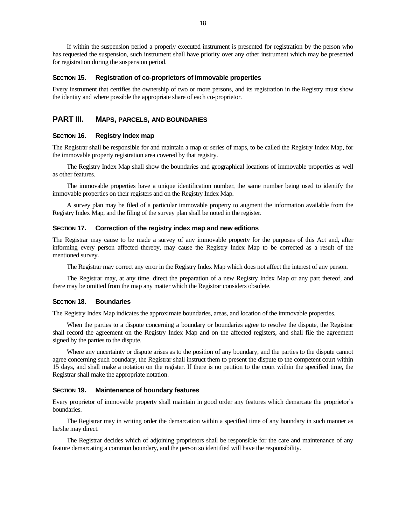If within the suspension period a properly executed instrument is presented for registration by the person who has requested the suspension, such instrument shall have priority over any other instrument which may be presented for registration during the suspension period.

#### **SECTION 15. Registration of co-proprietors of immovable properties**

Every instrument that certifies the ownership of two or more persons, and its registration in the Registry must show the identity and where possible the appropriate share of each co-proprietor.

#### **PART III. MAPS, PARCELS, AND BOUNDARIES**

#### **SECTION 16. Registry index map**

The Registrar shall be responsible for and maintain a map or series of maps, to be called the Registry Index Map, for the immovable property registration area covered by that registry.

The Registry Index Map shall show the boundaries and geographical locations of immovable properties as well as other features.

The immovable properties have a unique identification number, the same number being used to identify the immovable properties on their registers and on the Registry Index Map.

A survey plan may be filed of a particular immovable property to augment the information available from the Registry Index Map, and the filing of the survey plan shall be noted in the register.

#### **SECTION 17. Correction of the registry index map and new editions**

The Registrar may cause to be made a survey of any immovable property for the purposes of this Act and, after informing every person affected thereby, may cause the Registry Index Map to be corrected as a result of the mentioned survey.

The Registrar may correct any error in the Registry Index Map which does not affect the interest of any person.

The Registrar may, at any time, direct the preparation of a new Registry Index Map or any part thereof, and there may be omitted from the map any matter which the Registrar considers obsolete.

#### **SECTION 18. Boundaries**

The Registry Index Map indicates the approximate boundaries, areas, and location of the immovable properties.

When the parties to a dispute concerning a boundary or boundaries agree to resolve the dispute, the Registrar shall record the agreement on the Registry Index Map and on the affected registers, and shall file the agreement signed by the parties to the dispute.

Where any uncertainty or dispute arises as to the position of any boundary, and the parties to the dispute cannot agree concerning such boundary, the Registrar shall instruct them to present the dispute to the competent court within 15 days, and shall make a notation on the register. If there is no petition to the court within the specified time, the Registrar shall make the appropriate notation.

#### **SECTION 19. Maintenance of boundary features**

Every proprietor of immovable property shall maintain in good order any features which demarcate the proprietor's boundaries.

The Registrar may in writing order the demarcation within a specified time of any boundary in such manner as he/she may direct.

The Registrar decides which of adjoining proprietors shall be responsible for the care and maintenance of any feature demarcating a common boundary, and the person so identified will have the responsibility.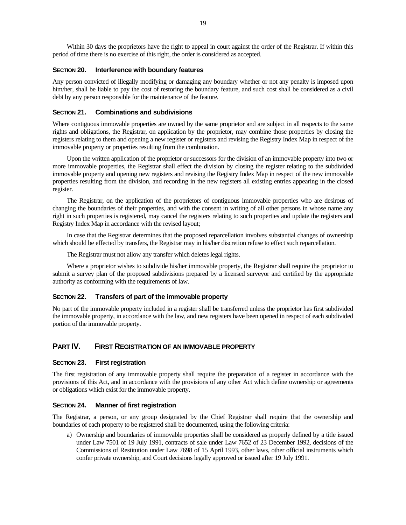Within 30 days the proprietors have the right to appeal in court against the order of the Registrar. If within this period of time there is no exercise of this right, the order is considered as accepted.

#### **SECTION 20. Interference with boundary features**

Any person convicted of illegally modifying or damaging any boundary whether or not any penalty is imposed upon him/her, shall be liable to pay the cost of restoring the boundary feature, and such cost shall be considered as a civil debt by any person responsible for the maintenance of the feature.

#### **SECTION 21. Combinations and subdivisions**

Where contiguous immovable properties are owned by the same proprietor and are subject in all respects to the same rights and obligations, the Registrar, on application by the proprietor, may combine those properties by closing the registers relating to them and opening a new register or registers and revising the Registry Index Map in respect of the immovable property or properties resulting from the combination.

Upon the written application of the proprietor or successors for the division of an immovable property into two or more immovable properties, the Registrar shall effect the division by closing the register relating to the subdivided immovable property and opening new registers and revising the Registry Index Map in respect of the new immovable properties resulting from the division, and recording in the new registers all existing entries appearing in the closed register.

The Registrar, on the application of the proprietors of contiguous immovable properties who are desirous of changing the boundaries of their properties, and with the consent in writing of all other persons in whose name any right in such properties is registered, may cancel the registers relating to such properties and update the registers and Registry Index Map in accordance with the revised layout;

In case that the Registrar determines that the proposed reparcellation involves substantial changes of ownership which should be effected by transfers, the Registrar may in his/her discretion refuse to effect such reparcellation.

The Registrar must not allow any transfer which deletes legal rights.

Where a proprietor wishes to subdivide his/her immovable property, the Registrar shall require the proprietor to submit a survey plan of the proposed subdivisions prepared by a licensed surveyor and certified by the appropriate authority as conforming with the requirements of law.

#### **SECTION 22. Transfers of part of the immovable property**

No part of the immovable property included in a register shall be transferred unless the proprietor has first subdivided the immovable property, in accordance with the law, and new registers have been opened in respect of each subdivided portion of the immovable property.

## **PART IV. FIRST REGISTRATION OF AN IMMOVABLE PROPERTY**

#### **SECTION 23. First registration**

The first registration of any immovable property shall require the preparation of a register in accordance with the provisions of this Act, and in accordance with the provisions of any other Act which define ownership or agreements or obligations which exist for the immovable property.

#### **SECTION 24. Manner of first registration**

The Registrar, a person, or any group designated by the Chief Registrar shall require that the ownership and boundaries of each property to be registered shall be documented, using the following criteria:

a) Ownership and boundaries of immovable properties shall be considered as properly defined by a title issued under Law 7501 of 19 July 1991, contracts of sale under Law 7652 of 23 December 1992, decisions of the Commissions of Restitution under Law 7698 of 15 April 1993, other laws, other official instruments which confer private ownership, and Court decisions legally approved or issued after 19 July 1991.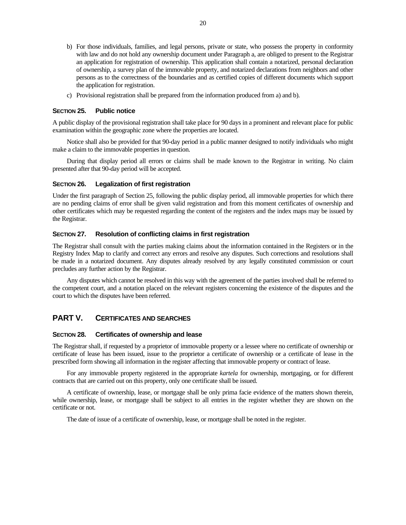- b) For those individuals, families, and legal persons, private or state, who possess the property in conformity with law and do not hold any ownership document under Paragraph a, are obliged to present to the Registrar an application for registration of ownership. This application shall contain a notarized, personal declaration of ownership, a survey plan of the immovable property, and notarized declarations from neighbors and other persons as to the correctness of the boundaries and as certified copies of different documents which support the application for registration.
- c) Provisional registration shall be prepared from the information produced from a) and b).

#### **SECTION 25. Public notice**

A public display of the provisional registration shall take place for 90 days in a prominent and relevant place for public examination within the geographic zone where the properties are located.

Notice shall also be provided for that 90-day period in a public manner designed to notify individuals who might make a claim to the immovable properties in question.

During that display period all errors or claims shall be made known to the Registrar in writing. No claim presented after that 90-day period will be accepted.

#### **SECTION 26. Legalization of first registration**

Under the first paragraph of Section 25, following the public display period, all immovable properties for which there are no pending claims of error shall be given valid registration and from this moment certificates of ownership and other certificates which may be requested regarding the content of the registers and the index maps may be issued by the Registrar.

#### **SECTION 27. Resolution of conflicting claims in first registration**

The Registrar shall consult with the parties making claims about the information contained in the Registers or in the Registry Index Map to clarify and correct any errors and resolve any disputes. Such corrections and resolutions shall be made in a notarized document. Any disputes already resolved by any legally constituted commission or court precludes any further action by the Registrar.

Any disputes which cannot be resolved in this way with the agreement of the parties involved shall be referred to the competent court, and a notation placed on the relevant registers concerning the existence of the disputes and the court to which the disputes have been referred.

## **PART V. CERTIFICATES AND SEARCHES**

#### **SECTION 28. Certificates of ownership and lease**

The Registrar shall, if requested by a proprietor of immovable property or a lessee where no certificate of ownership or certificate of lease has been issued, issue to the proprietor a certificate of ownership or a certificate of lease in the prescribed form showing all information in the register affecting that immovable property or contract of lease.

For any immovable property registered in the appropriate *kartela* for ownership, mortgaging, or for different contracts that are carried out on this property, only one certificate shall be issued.

A certificate of ownership, lease, or mortgage shall be only prima facie evidence of the matters shown therein, while ownership, lease, or mortgage shall be subject to all entries in the register whether they are shown on the certificate or not.

The date of issue of a certificate of ownership, lease, or mortgage shall be noted in the register.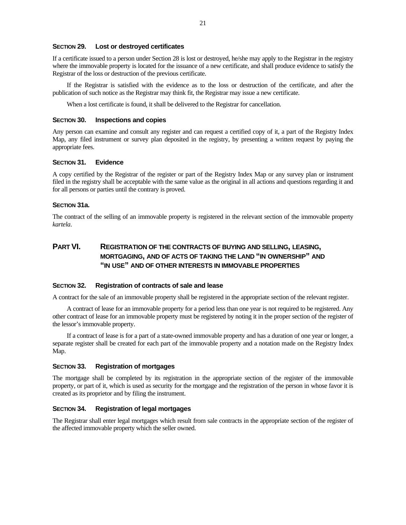#### **SECTION 29. Lost or destroyed certificates**

If a certificate issued to a person under Section 28 is lost or destroyed, he/she may apply to the Registrar in the registry where the immovable property is located for the issuance of a new certificate, and shall produce evidence to satisfy the Registrar of the loss or destruction of the previous certificate.

If the Registrar is satisfied with the evidence as to the loss or destruction of the certificate, and after the publication of such notice as the Registrar may think fit, the Registrar may issue a new certificate.

When a lost certificate is found, it shall be delivered to the Registrar for cancellation.

#### **SECTION 30. Inspections and copies**

Any person can examine and consult any register and can request a certified copy of it, a part of the Registry Index Map, any filed instrument or survey plan deposited in the registry, by presenting a written request by paying the appropriate fees.

#### **SECTION 31. Evidence**

A copy certified by the Registrar of the register or part of the Registry Index Map or any survey plan or instrument filed in the registry shall be acceptable with the same value as the original in all actions and questions regarding it and for all persons or parties until the contrary is proved.

#### **SECTION 31a.**

The contract of the selling of an immovable property is registered in the relevant section of the immovable property *kartela*.

## **PART VI. REGISTRATION OF THE CONTRACTS OF BUYING AND SELLING, LEASING, MORTGAGING, AND OF ACTS OF TAKING THE LAND "IN OWNERSHIP" AND "IN USE" AND OF OTHER INTERESTS IN IMMOVABLE PROPERTIES**

#### **SECTION 32. Registration of contracts of sale and lease**

A contract for the sale of an immovable property shall be registered in the appropriate section of the relevant register.

A contract of lease for an immovable property for a period less than one year is not required to be registered. Any other contract of lease for an immovable property must be registered by noting it in the proper section of the register of the lessor's immovable property.

If a contract of lease is for a part of a state-owned immovable property and has a duration of one year or longer, a separate register shall be created for each part of the immovable property and a notation made on the Registry Index Map.

#### **SECTION 33. Registration of mortgages**

The mortgage shall be completed by its registration in the appropriate section of the register of the immovable property, or part of it, which is used as security for the mortgage and the registration of the person in whose favor it is created as its proprietor and by filing the instrument.

#### **SECTION 34. Registration of legal mortgages**

The Registrar shall enter legal mortgages which result from sale contracts in the appropriate section of the register of the affected immovable property which the seller owned.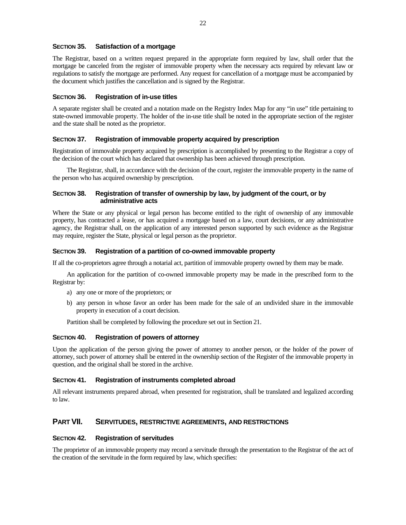### **SECTION 35. Satisfaction of a mortgage**

The Registrar, based on a written request prepared in the appropriate form required by law, shall order that the mortgage be canceled from the register of immovable property when the necessary acts required by relevant law or regulations to satisfy the mortgage are performed. Any request for cancellation of a mortgage must be accompanied by the document which justifies the cancellation and is signed by the Registrar.

#### **SECTION 36. Registration of in-use titles**

A separate register shall be created and a notation made on the Registry Index Map for any "in use" title pertaining to state-owned immovable property. The holder of the in-use title shall be noted in the appropriate section of the register and the state shall be noted as the proprietor.

#### **SECTION 37. Registration of immovable property acquired by prescription**

Registration of immovable property acquired by prescription is accomplished by presenting to the Registrar a copy of the decision of the court which has declared that ownership has been achieved through prescription.

The Registrar, shall, in accordance with the decision of the court, register the immovable property in the name of the person who has acquired ownership by prescription.

#### **SECTION 38. Registration of transfer of ownership by law, by judgment of the court, or by administrative acts**

Where the State or any physical or legal person has become entitled to the right of ownership of any immovable property, has contracted a lease, or has acquired a mortgage based on a law, court decisions, or any administrative agency, the Registrar shall, on the application of any interested person supported by such evidence as the Registrar may require, register the State, physical or legal person as the proprietor.

#### **SECTION 39. Registration of a partition of co-owned immovable property**

If all the co-proprietors agree through a notarial act, partition of immovable property owned by them may be made.

An application for the partition of co-owned immovable property may be made in the prescribed form to the Registrar by:

- a) any one or more of the proprietors; or
- b) any person in whose favor an order has been made for the sale of an undivided share in the immovable property in execution of a court decision.

Partition shall be completed by following the procedure set out in Section 21.

#### **SECTION 40. Registration of powers of attorney**

Upon the application of the person giving the power of attorney to another person, or the holder of the power of attorney, such power of attorney shall be entered in the ownership section of the Register of the immovable property in question, and the original shall be stored in the archive.

#### **SECTION 41. Registration of instruments completed abroad**

All relevant instruments prepared abroad, when presented for registration, shall be translated and legalized according to law.

#### **PART VII. SERVITUDES, RESTRICTIVE AGREEMENTS, AND RESTRICTIONS**

#### **SECTION 42. Registration of servitudes**

The proprietor of an immovable property may record a servitude through the presentation to the Registrar of the act of the creation of the servitude in the form required by law, which specifies: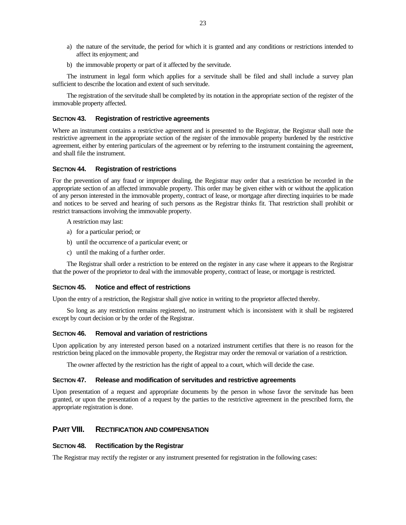- a) the nature of the servitude, the period for which it is granted and any conditions or restrictions intended to affect its enjoyment; and
- b) the immovable property or part of it affected by the servitude.

The instrument in legal form which applies for a servitude shall be filed and shall include a survey plan sufficient to describe the location and extent of such servitude.

The registration of the servitude shall be completed by its notation in the appropriate section of the register of the immovable property affected.

#### **SECTION 43. Registration of restrictive agreements**

Where an instrument contains a restrictive agreement and is presented to the Registrar, the Registrar shall note the restrictive agreement in the appropriate section of the register of the immovable property burdened by the restrictive agreement, either by entering particulars of the agreement or by referring to the instrument containing the agreement, and shall file the instrument.

#### **SECTION 44. Registration of restrictions**

For the prevention of any fraud or improper dealing, the Registrar may order that a restriction be recorded in the appropriate section of an affected immovable property. This order may be given either with or without the application of any person interested in the immovable property, contract of lease, or mortgage after directing inquiries to be made and notices to be served and hearing of such persons as the Registrar thinks fit. That restriction shall prohibit or restrict transactions involving the immovable property.

A restriction may last:

- a) for a particular period; or
- b) until the occurrence of a particular event; or
- c) until the making of a further order.

The Registrar shall order a restriction to be entered on the register in any case where it appears to the Registrar that the power of the proprietor to deal with the immovable property, contract of lease, or mortgage is restricted.

#### **SECTION 45. Notice and effect of restrictions**

Upon the entry of a restriction, the Registrar shall give notice in writing to the proprietor affected thereby.

So long as any restriction remains registered, no instrument which is inconsistent with it shall be registered except by court decision or by the order of the Registrar.

#### **SECTION 46. Removal and variation of restrictions**

Upon application by any interested person based on a notarized instrument certifies that there is no reason for the restriction being placed on the immovable property, the Registrar may order the removal or variation of a restriction.

The owner affected by the restriction has the right of appeal to a court, which will decide the case.

#### **SECTION 47. Release and modification of servitudes and restrictive agreements**

Upon presentation of a request and appropriate documents by the person in whose favor the servitude has been granted, or upon the presentation of a request by the parties to the restrictive agreement in the prescribed form, the appropriate registration is done.

### **PART VIII. RECTIFICATION AND COMPENSATION**

#### **SECTION 48. Rectification by the Registrar**

The Registrar may rectify the register or any instrument presented for registration in the following cases: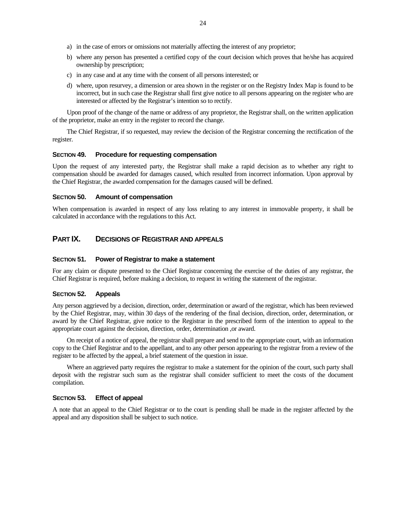- a) in the case of errors or omissions not materially affecting the interest of any proprietor;
- b) where any person has presented a certified copy of the court decision which proves that he/she has acquired ownership by prescription;
- c) in any case and at any time with the consent of all persons interested; or
- d) where, upon resurvey, a dimension or area shown in the register or on the Registry Index Map is found to be incorrect, but in such case the Registrar shall first give notice to all persons appearing on the register who are interested or affected by the Registrar's intention so to rectify.

Upon proof of the change of the name or address of any proprietor, the Registrar shall, on the written application of the proprietor, make an entry in the register to record the change.

The Chief Registrar, if so requested, may review the decision of the Registrar concerning the rectification of the register.

#### **SECTION 49. Procedure for requesting compensation**

Upon the request of any interested party, the Registrar shall make a rapid decision as to whether any right to compensation should be awarded for damages caused, which resulted from incorrect information. Upon approval by the Chief Registrar, the awarded compensation for the damages caused will be defined.

#### **SECTION 50. Amount of compensation**

When compensation is awarded in respect of any loss relating to any interest in immovable property, it shall be calculated in accordance with the regulations to this Act.

### **PART IX. DECISIONS OF REGISTRAR AND APPEALS**

#### **SECTION 51. Power of Registrar to make a statement**

For any claim or dispute presented to the Chief Registrar concerning the exercise of the duties of any registrar, the Chief Registrar is required, before making a decision, to request in writing the statement of the registrar.

#### **SECTION 52. Appeals**

Any person aggrieved by a decision, direction, order, determination or award of the registrar, which has been reviewed by the Chief Registrar, may, within 30 days of the rendering of the final decision, direction, order, determination, or award by the Chief Registrar, give notice to the Registrar in the prescribed form of the intention to appeal to the appropriate court against the decision, direction, order, determination ,or award.

On receipt of a notice of appeal, the registrar shall prepare and send to the appropriate court, with an information copy to the Chief Registrar and to the appellant, and to any other person appearing to the registrar from a review of the register to be affected by the appeal, a brief statement of the question in issue.

Where an aggrieved party requires the registrar to make a statement for the opinion of the court, such party shall deposit with the registrar such sum as the registrar shall consider sufficient to meet the costs of the document compilation.

#### **SECTION 53. Effect of appeal**

A note that an appeal to the Chief Registrar or to the court is pending shall be made in the register affected by the appeal and any disposition shall be subject to such notice.